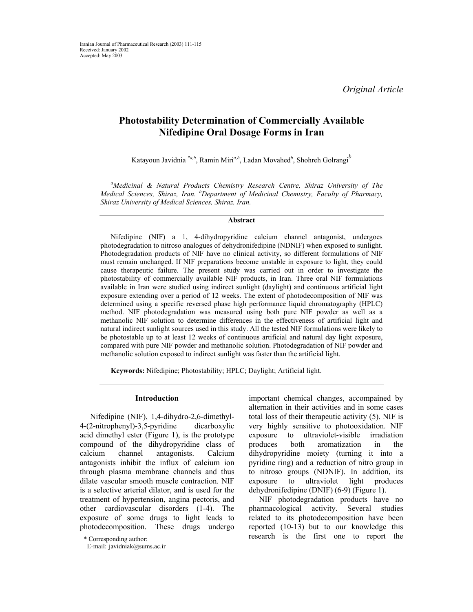# **Photostability Determination of Commercially Available Nifedipine Oral Dosage Forms in Iran**

Katayoun Javidnia \**a,b*, Ramin Miri*a,b*, Ladan Movahed*<sup>b</sup>* , Shohreh Golrangi*<sup>b</sup>*

*a Medicinal & Natural Products Chemistry Research Centre, Shiraz University of The Medical Sciences, Shiraz, Iran. <sup>b</sup> Department of Medicinal Chemistry, Faculty of Pharmacy, Shiraz University of Medical Sciences, Shiraz, Iran.* 

## **Abstract**

Nifedipine (NIF) a 1, 4-dihydropyridine calcium channel antagonist, undergoes photodegradation to nitroso analogues of dehydronifedipine (NDNIF) when exposed to sunlight. Photodegradation products of NIF have no clinical activity, so different formulations of NIF must remain unchanged. If NIF preparations become unstable in exposure to light, they could cause therapeutic failure. The present study was carried out in order to investigate the photostability of commercially available NIF products, in Iran. Three oral NIF formulations available in Iran were studied using indirect sunlight (daylight) and continuous artificial light exposure extending over a period of 12 weeks. The extent of photodecomposition of NIF was determined using a specific reversed phase high performance liquid chromatography (HPLC) method. NIF photodegradation was measured using both pure NIF powder as well as a methanolic NIF solution to determine differences in the effectiveness of artificial light and natural indirect sunlight sources used in this study. All the tested NIF formulations were likely to be photostable up to at least 12 weeks of continuous artificial and natural day light exposure, compared with pure NIF powder and methanolic solution. Photodegradation of NIF powder and methanolic solution exposed to indirect sunlight was faster than the artificial light.

**Keywords:** Nifedipine; Photostability; HPLC; Daylight; Artificial light.

#### **Introduction**

Nifedipine (NIF), 1,4-dihydro-2,6-dimethyl-4-(2-nitrophenyl)-3,5-pyridine dicarboxylic acid dimethyl ester (Figure 1), is the prototype compound of the dihydropyridine class of calcium channel antagonists. Calcium antagonists inhibit the influx of calcium ion through plasma membrane channels and thus dilate vascular smooth muscle contraction. NIF is a selective arterial dilator, and is used for the treatment of hypertension, angina pectoris, and other cardiovascular disorders (1-4). The exposure of some drugs to light leads to photodecomposition. These drugs undergo

important chemical changes, accompained by alternation in their activities and in some cases total loss of their therapeutic activity (5). NIF is very highly sensitive to photooxidation. NIF exposure to ultraviolet-visible irradiation produces both aromatization in the dihydropyridine moiety (turning it into a pyridine ring) and a reduction of nitro group in to nitroso groups (NDNIF). In addition, its exposure to ultraviolet light produces dehydronifedipine (DNIF) (6-9) (Figure 1).

NIF photodegradation products have no pharmacological activity. Several studies related to its photodecomposition have been reported (10-13) but to our knowledge this \* Corresponding author: research is the first one to report the

E-mail: javidniak@sums.ac.ir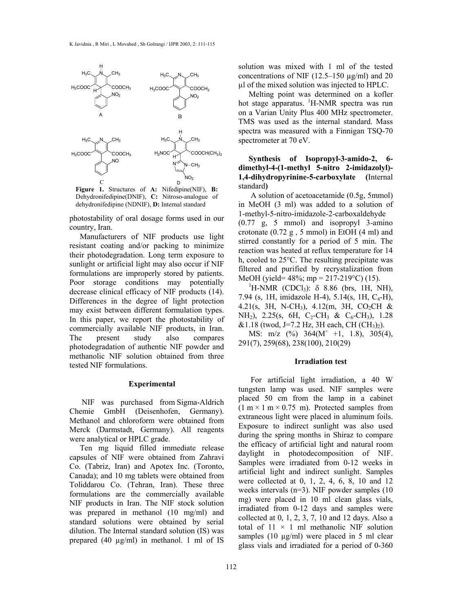



photostability of oral dosage forms used in our country, Iran.

Manufacturers of NIF products use light resistant coating and/or packing to minimize their photodegradation. Long term exposure to sunlight or artificial light may also occur if NIF formulations are improperly stored by patients. Poor storage conditions may potentially decrease clinical efficacy of NIF products (14). Differences in the degree of light protection may exist between different formulation types. In this paper, we report the photostability of commercially available NIF products, in Iran. The present study also compares photodegradation of authentic NIF powder and methanolic NIF solution obtained from three tested NIF formulations.

## **Experimental**

 NIF was purchased from Sigma-Aldrich Chemie GmbH (Deisenhofen, Germany). Methanol and chloroform were obtained from Merck (Darmstadt, Germany). All reagents were analytical or HPLC grade.

Ten mg liquid filled immediate release capsules of NIF were obtained from Zahravi Co. (Tabriz, Iran) and Apotex Inc. (Toronto, Canada); and 10 mg tablets were obtained from Toliddarou Co. (Tehran, Iran). These three formulations are the commercially available NIF products in Iran. The NIF stock solution was prepared in methanol (10 mg/ml) and standard solutions were obtained by serial dilution. The Internal standard solution (IS) was prepared (40 µg/ml) in methanol. 1 ml of IS solution was mixed with 1 ml of the tested concentrations of NIF (12.5–150 µg/ml) and 20 µl of the mixed solution was injected to HPLC.

Melting point was determined on a kofler hot stage apparatus. <sup>1</sup>H-NMR spectra was run on a Varian Unity Plus 400 MHz spectrometer. TMS was used as the internal standard. Mass spectra was measured with a Finnigan TSQ-70 spectrometer at 70 eV.

**Synthesis of Isopropyl-3-amido-2, 6 dimethyl-4-(1-methyl 5-nitro 2-imidazolyl)- 1,4-dihydropyrinine-5-carboxylate (**Internal standard**)**

 A solution of acetoacetamide (0.5g, 5mmol) in MeOH (3 ml) was added to a solution of 1-methyl-5-nitro-imidazole-2-carboxaldehyde (0.77 g, 5 mmol) and isopropyl 3-amino crotonate  $(0.72 \text{ g}$ , 5 mmol) in EtOH  $(4 \text{ ml})$  and stirred constantly for a period of 5 min. The reaction was heated at reflux temperature for 14 h, cooled to 25°C. The resulting precipitate was filtered and purified by recrystalization from MeOH (yield=  $48\%$ ; mp =  $217-219$ °C) (15).

 ${}^{1}$ H-NMR (CDCl<sub>3</sub>):  $\delta$  8.86 (brs, 1H, NH), 7.94 (s, 1H, imidazole H-4), 5.14(s, 1H, C<sub>4</sub>-H), 4.21(s, 3H, N-CH<sub>3</sub>), 4.12(m, 3H, CO<sub>2</sub>CH & NH<sub>2</sub>), 2.25(s, 6H, C<sub>2</sub>-CH<sub>3</sub> & C<sub>6</sub>-CH<sub>3</sub>), 1.28  $&1.18$  (twod, J=7.2 Hz, 3H each, CH (CH<sub>3</sub>)<sub>2</sub>).

MS:  $m/z$  (%) 364( $M^+$  +1, 1.8), 305(4), 291(7), 259(68), 238(100), 210(29)

## **Irradiation test**

 For artificial light irradiation, a 40 W tungsten lamp was used. NIF samples were placed 50 cm from the lamp in a cabinet  $(1 \text{ m} \times 1 \text{ m} \times 0.75 \text{ m})$ . Protected samples from extraneous light were placed in aluminum foils. Exposure to indirect sunlight was also used during the spring months in Shiraz to compare the efficacy of artificial light and natural room daylight in photodecomposition of NIF. Samples were irradiated from 0-12 weeks in artificial light and indirect sunlight. Samples were collected at 0, 1, 2, 4, 6, 8, 10 and 12 weeks intervals (n=3). NIF powder samples (10 mg) were placed in 10 ml clean glass vials, irradiated from 0-12 days and samples were collected at 0, 1, 2, 3, 7, 10 and 12 days. Also a total of  $11 \times 1$  ml methanolic NIF solution samples (10  $\mu$ g/ml) were placed in 5 ml clear glass vials and irradiated for a period of 0-360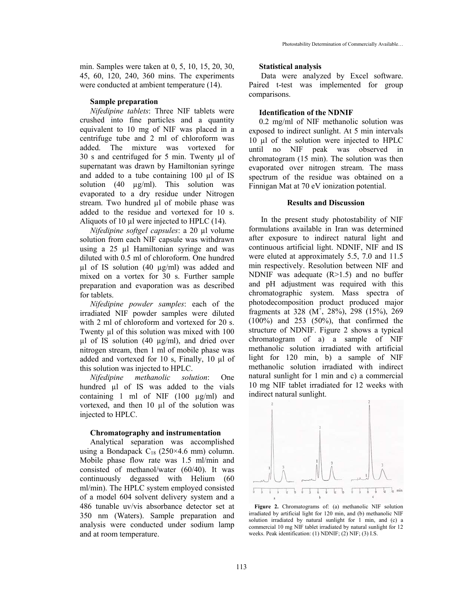min. Samples were taken at 0, 5, 10, 15, 20, 30, 45, 60, 120, 240, 360 mins. The experiments were conducted at ambient temperature (14).

## **Sample preparation**

*Nifedipine tablets*: Three NIF tablets were crushed into fine particles and a quantity equivalent to 10 mg of NIF was placed in a centrifuge tube and 2 ml of chloroform was added. The mixture was vortexed for 30 s and centrifuged for 5 min. Twenty µl of supernatant was drawn by Hamiltonian syringe and added to a tube containing 100 µl of IS solution (40  $\mu$ g/ml). This solution was evaporated to a dry residue under Nitrogen stream. Two hundred  $\mu$ l of mobile phase was added to the residue and vortexed for 10 s. Aliquots of 10  $\mu$ l were injected to HPLC (14).

*Nifedipine softgel capsules*: a 20 µl volume solution from each NIF capsule was withdrawn using a 25 µl Hamiltonian syringe and was diluted with 0.5 ml of chloroform. One hundred  $\mu$ l of IS solution (40  $\mu$ g/ml) was added and mixed on a vortex for 30 s. Further sample preparation and evaporation was as described for tablets.

*Nifedipine powder samples*: each of the irradiated NIF powder samples were diluted with 2 ml of chloroform and vortexed for 20 s. Twenty µl of this solution was mixed with 100  $\mu$ l of IS solution (40  $\mu$ g/ml), and dried over nitrogen stream, then 1 ml of mobile phase was added and vortexed for 10 s, Finally, 10 µl of this solution was injected to HPLC.

*Nifedipine methanolic solution*: One hundred µl of IS was added to the vials containing 1 ml of NIF  $(100 \mu g/ml)$  and vortexed, and then 10 µl of the solution was injected to HPLC.

# **Chromatography and instrumentation**

Analytical separation was accomplished using a Bondapack  $C_{18}$  (250×4.6 mm) column. Mobile phase flow rate was 1.5 ml/min and consisted of methanol/water (60/40). It was continuously degassed with Helium (60 ml/min). The HPLC system employed consisted of a model 604 solvent delivery system and a 486 tunable uv/vis absorbance detector set at 350 nm (Waters). Sample preparation and analysis were conducted under sodium lamp and at room temperature.

## **Statistical analysis**

 Data were analyzed by Excel software. Paired t-test was implemented for group comparisons.

## **Identification of the NDNIF**

0.2 mg/ml of NIF methanolic solution was exposed to indirect sunlight. At 5 min intervals 10 µl of the solution were injected to HPLC until no NIF peak was observed in chromatogram (15 min). The solution was then evaporated over nitrogen stream. The mass spectrum of the residue was obtained on a Finnigan Mat at 70 eV ionization potential.

#### **Results and Discussion**

 In the present study photostability of NIF formulations available in Iran was determined after exposure to indirect natural light and continuous artificial light. NDNIF, NIF and IS were eluted at approximately 5.5, 7.0 and 11.5 min respectively. Resolution between NIF and NDNIF was adequate  $(R>1.5)$  and no buffer and pH adjustment was required with this chromatographic system. Mass spectra of photodecomposition product produced major fragments at 328  $(M^{\dagger}, 28\%)$ , 298  $(15\%)$ , 269 (100%) and 253 (50%), that confirmed the structure of NDNIF. Figure 2 shows a typical chromatogram of a) a sample of NIF methanolic solution irradiated with artificial light for 120 min, b) a sample of NIF methanolic solution irradiated with indirect natural sunlight for 1 min and c) a commercial 10 mg NIF tablet irradiated for 12 weeks with indirect natural sunlight.



 **Figure 2.** Chromatograms of: (a) methanolic NIF solution irradiated by artificial light for 120 min, and (b) methanolic NIF solution irradiated by natural sunlight for 1 min, and (c) a commercial 10 mg NIF tablet irradiated by natural sunlight for 12 weeks. Peak identification: (1) NDNIF; (2) NIF; (3) I.S.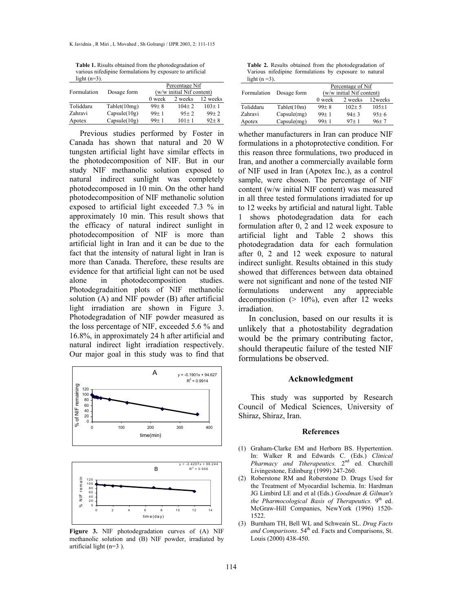**Table 1.** Risults obtained from the photodegradation of various nifedipine formulations by exposure to artificial light  $(n=3)$ .

|             | Dosage form        | Percentage Nif<br>(w/w initial Nif content) |           |          |
|-------------|--------------------|---------------------------------------------|-----------|----------|
| Formulation |                    | 0 week                                      | 2 weeks   | 12 weeks |
| Toliddaru   | Tablet(10mg)       | $99 + 8$                                    | $104 + 2$ | $103+1$  |
| Zahravi     | $C$ apsule $(10g)$ | $99+1$                                      | $95+2$    | $99 + 2$ |
| Apotex      | Capsule(10g)       | $99+1$                                      | $101 + 1$ | $92 + 8$ |

Previous studies performed by Foster in Canada has shown that natural and 20 W tungsten artificial light have similar effects in the photodecomposition of NIF. But in our study NIF methanolic solution exposed to natural indirect sunlight was completely photodecomposed in 10 min. On the other hand photodecomposition of NIF methanolic solution exposed to artificial light exceeded 7.3 % in approximately 10 min. This result shows that the efficacy of natural indirect sunlight in photodecomposition of NIF is more than artificial light in Iran and it can be due to the fact that the intensity of natural light in Iran is more than Canada. Therefore, these results are evidence for that artificial light can not be used alone in photodecomposition studies. Photodegradaition plots of NIF methanolic solution (A) and NIF powder (B) after artificial light irradiation are shown in Figure 3. Photodegradation of NIF powder measured as the loss percentage of NIF, exceeded 5.6 % and 16.8%, in approximately 24 h after artificial and natural indirect light irradiation respectively. Our major goal in this study was to find that





**Figure 3.** NIF photodegradation curves of (A) NIF methanolic solution and (B) NIF powder, irradiated by artificial light (n=3 ).

**Table 2.** Results obtained from the photodegradation of Various nifedipine formulations by exposure to natural  $\text{light} (n = 3)$ .

| Formulation | Dosage form | Percentage of Nif<br>$(w/w \text{ initial Nif content})$ |           |             |
|-------------|-------------|----------------------------------------------------------|-----------|-------------|
|             |             | 0 week                                                   | 2 weeks   | 12 weeks    |
| Toliddaru   | Tablet(10m) | $99 + 8$                                                 | $102 + 5$ | $105 \pm 1$ |
| Zahravi     | Capsule(mg) | $99+1$                                                   | $94 + 3$  | $95+6$      |
| Apotex      | Capsule(mg) | $99+1$                                                   | $97 + 1$  | $96+7$      |

whether manufacturers in Iran can produce NIF formulations in a photoprotective condition. For this reason three formulations, two produced in Iran, and another a commercially available form of NIF used in Iran (Apotex Inc.), as a control sample, were chosen. The percentage of NIF content (w/w initial NIF content) was measured in all three tested formulations irradiated for up to 12 weeks by artificial and natural light. Table 1 shows photodegradation data for each formulation after 0, 2 and 12 week exposure to artificial light and Table 2 shows this photodegradation data for each formulation after 0, 2 and 12 week exposure to natural indirect sunlight. Results obtained in this study showed that differences between data obtained were not significant and none of the tested NIF formulations underwent any appreciable decomposition  $(> 10\%)$ , even after 12 weeks irradiation.

In conclusion, based on our results it is unlikely that a photostability degradation would be the primary contributing factor, should therapeutic failure of the tested NIF formulations be observed.

# **Acknowledgment**

 This study was supported by Research Council of Medical Sciences, University of Shiraz, Shiraz, Iran.

## **References**

- (1) Graham-Clarke EM and Herborn BS. Hypertention. In: Walker R and Edwards C. (Eds.) *Clinical Pharmacy and Ttherapeutics.* 2nd ed. Churchill Livingestone, Edinburg (1999) 247-260.
- (2) Roberstone RM and Roberstone D. Drugs Used for the Treatment of Myocardial Ischemia. In: Hardman JG Limbird LE and et al (Eds.) *Goodman & Gilman's the Pharmocological Basis of Therapeutics.* 9<sup>th</sup> ed. McGraw-Hill Companies, NewYork (1996) 1520- 1522.
- (3) Burnham TH, Bell WL and Schweain SL. *Drug Facts*  and Comparisons. 54<sup>th</sup> ed. Facts and Comparisons, St. Louis (2000) 438-450.